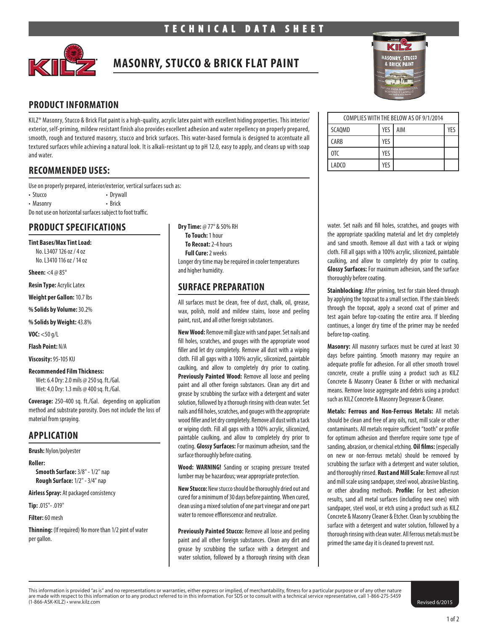

# **MASONRY, STUCCO & BRICK FLAT PAINT**

## **PRODUCT INFORMATION**

KILZ® Masonry, Stucco & Brick Flat paint is a high-quality, acrylic latex paint with excellent hiding properties. This interior/ exterior, self-priming, mildew resistant finish also provides excellent adhesion and water repellency on properly prepared, smooth, rough and textured masonry, stucco and brick surfaces. This water-based formula is designed to accentuate all textured surfaces while achieving a natural look. It is alkali-resistant up to pH 12.0, easy to apply, and cleans up with soap and water.

## **RECOMMENDED USES:**

Use on properly prepared, interior/exterior, vertical surfaces such as:

• Stucco • Drywall

• Masonry • Brick

Do not use on horizontal surfaces subject to foot traffic.

## **PRODUCT SPECIFICATIONS**

#### **Tint Bases/Max Tint Load:**

No. L3407 126 oz / 4 oz No. L3410 116 oz / 14 oz

**Sheen:** <4 @ 85°

**Resin Type:** Acrylic Latex

**Weight per Gallon:** 10.7 lbs

**% Solids by Volume:** 30.2%

**% Solids by Weight:** 43.8%

**VOC:** <50 g/L

**Flash Point:** N/A

**Viscosity:** 95-105 KU

#### **Recommended Film Thickness:**

Wet: 6.4 Dry: 2.0 mils @ 250 sq. ft./Gal. Wet: 4.0 Dry: 1.3 mils @ 400 sq. ft./Gal.

**Coverage:** 250-400 sq. ft./Gal. depending on application method and substrate porosity. Does not include the loss of material from spraying.

## **APPLICATION**

**Brush:** Nylon/polyester

**Roller:** 

**Smooth Surface:** 3/8" - 1/2" nap **Rough Surface:** 1/2" - 3/4" nap

**Airless Spray:** At packaged consistency

**Tip:** .015"- .019"

**Filter:** 60 mesh

**Thinning:** (If required) No more than 1/2 pint of water per gallon.

**Dry Time:** @ 77° & 50% RH **To Touch:** 1 hour **To Recoat:** 2-4 hours **Full Cure:** 2 weeks Longer dry time may be required in cooler temperatures and higher humidity.

## **SURFACE PREPARATION**

All surfaces must be clean, free of dust, chalk, oil, grease, wax, polish, mold and mildew stains, loose and peeling paint, rust, and all other foreign substances.

**New Wood:** Remove mill glaze with sand paper. Set nails and fill holes, scratches, and gouges with the appropriate wood filler and let dry completely. Remove all dust with a wiping cloth. Fill all gaps with a 100% acrylic, siliconized, paintable caulking, and allow to completely dry prior to coating. Previously Painted Wood: Remove all loose and peeling paint and all other foreign substances. Clean any dirt and grease by scrubbing the surface with a detergent and water solution, followed by a thorough rinsing with clean water. Set nails and fill holes, scratches, and gouges with the appropriate wood filler and let dry completely. Remove all dust with a tack or wiping cloth. Fill all gaps with a 100% acrylic, siliconized, paintable caulking, and allow to completely dry prior to coating. **Glossy Surfaces:** For maximum adhesion, sand the surface thoroughly before coating.

**Wood: WARNING!** Sanding or scraping pressure treated lumber may be hazardous; wear appropriate protection.

**New Stucco:** New stucco should be thoroughly dried out and cured for a minimum of 30 days before painting. When cured, clean using a mixed solution of one part vinegar and one part water to remove efflorescence and neutralize.

**Previously Painted Stucco:** Remove all loose and peeling paint and all other foreign substances. Clean any dirt and grease by scrubbing the surface with a detergent and water solution, followed by a thorough rinsing with clean



| COMPLIES WITH THE BELOW AS OF 9/1/2014 |     |     |     |
|----------------------------------------|-----|-----|-----|
| SCAQMD                                 | YES | AIM | YFS |
| <b>CARB</b>                            | YES |     |     |
| 0TC                                    | YES |     |     |
| LADCO                                  | YFS |     |     |

water. Set nails and fill holes, scratches, and gouges with the appropriate spackling material and let dry completely and sand smooth. Remove all dust with a tack or wiping cloth. Fill all gaps with a 100% acrylic, siliconized, paintable caulking, and allow to completely dry prior to coating. **Glossy Surfaces:** For maximum adhesion, sand the surface thoroughly before coating.

**Stainblocking:** After priming, test for stain bleed-through by applying the topcoat to a small section. If the stain bleeds through the topcoat, apply a second coat of primer and test again before top-coating the entire area. If bleeding continues, a longer dry time of the primer may be needed before top-coating.

**Masonry:** All masonry surfaces must be cured at least 30 days before painting. Smooth masonry may require an adequate profile for adhesion. For all other smooth trowel concrete, create a profile using a product such as KILZ Concrete & Masonry Cleaner & Etcher or with mechanical means. Remove loose aggregate and debris using a product such as KILZ Concrete & Masonry Degreaser & Cleaner.

**Metals: Ferrous and Non-Ferrous Metals:** All metals should be clean and free of any oils, rust, mill scale or other contaminants. All metals require sufficient "tooth" or profile for optimum adhesion and therefore require some type of sanding, abrasion, or chemical etching. **Oil films:** (especially on new or non-ferrous metals) should be removed by scrubbing the surface with a detergent and water solution, and thoroughly rinsed. **Rust and Mill Scale:** Remove all rust and mill scale using sandpaper, steel wool, abrasive blasting, or other abrading methods. **Profile:** For best adhesion results, sand all metal surfaces (including new ones) with sandpaper, steel wool, or etch using a product such as KILZ Concrete & Masonry Cleaner & Etcher. Clean by scrubbing the surface with a detergent and water solution, followed by a thorough rinsing with clean water. All ferrous metals must be primed the same day it is cleaned to prevent rust.